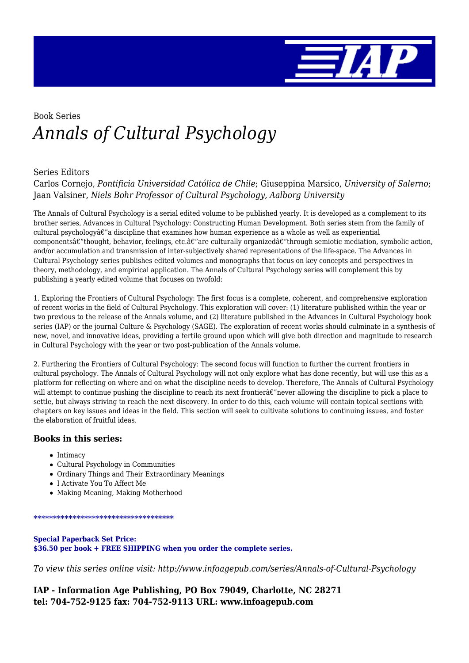

# Book Series *Annals of Cultural Psychology*

#### Series Editors

Carlos Cornejo, *Pontificia Universidad Católica de Chile*; Giuseppina Marsico, *University of Salerno*; Jaan Valsiner, *Niels Bohr Professor of Cultural Psychology, Aalborg University*

The Annals of Cultural Psychology is a serial edited volume to be published yearly. It is developed as a complement to its brother series, Advances in Cultural Psychology: Constructing Human Development. Both series stem from the family of cultural psychology $\hat{\alpha}\hat{\epsilon}$ " a discipline that examines how human experience as a whole as well as experiential components $\hat{a}\epsilon$ "thought, behavior, feelings, etc. $\hat{a}\epsilon$ "are culturally organized $\hat{a}\epsilon$ "through semiotic mediation, symbolic action, and/or accumulation and transmission of inter-subjectively shared representations of the life-space. The Advances in Cultural Psychology series publishes edited volumes and monographs that focus on key concepts and perspectives in theory, methodology, and empirical application. The Annals of Cultural Psychology series will complement this by publishing a yearly edited volume that focuses on twofold:

1. Exploring the Frontiers of Cultural Psychology: The first focus is a complete, coherent, and comprehensive exploration of recent works in the field of Cultural Psychology. This exploration will cover: (1) literature published within the year or two previous to the release of the Annals volume, and (2) literature published in the Advances in Cultural Psychology book series (IAP) or the journal Culture & Psychology (SAGE). The exploration of recent works should culminate in a synthesis of new, novel, and innovative ideas, providing a fertile ground upon which will give both direction and magnitude to research in Cultural Psychology with the year or two post-publication of the Annals volume.

2. Furthering the Frontiers of Cultural Psychology: The second focus will function to further the current frontiers in cultural psychology. The Annals of Cultural Psychology will not only explore what has done recently, but will use this as a platform for reflecting on where and on what the discipline needs to develop. Therefore, The Annals of Cultural Psychology will attempt to continue pushing the discipline to reach its next frontier $\hat{a}\epsilon$ "never allowing the discipline to pick a place to settle, but always striving to reach the next discovery. In order to do this, each volume will contain topical sections with chapters on key issues and ideas in the field. This section will seek to cultivate solutions to continuing issues, and foster the elaboration of fruitful ideas.

#### **Books in this series:**

- $\bullet$  Intimacy
- Cultural Psychology in Communities
- Ordinary Things and Their Extraordinary Meanings
- I Activate You To Affect Me
- Making Meaning, Making Motherhood

#### \*\*\*\*\*\*\*\*\*\*\*\*\*\*\*\*\*\*\*\*\*\*\*\*\*\*\*\*\*\*\*\*\*\*\*\*

**Special Paperback Set Price: \$36.50 per book + FREE SHIPPING when you order the complete series.**

*To view this series online visit: http://www.infoagepub.com/series/Annals-of-Cultural-Psychology*

**IAP - Information Age Publishing, PO Box 79049, Charlotte, NC 28271 tel: 704-752-9125 fax: 704-752-9113 URL: www.infoagepub.com**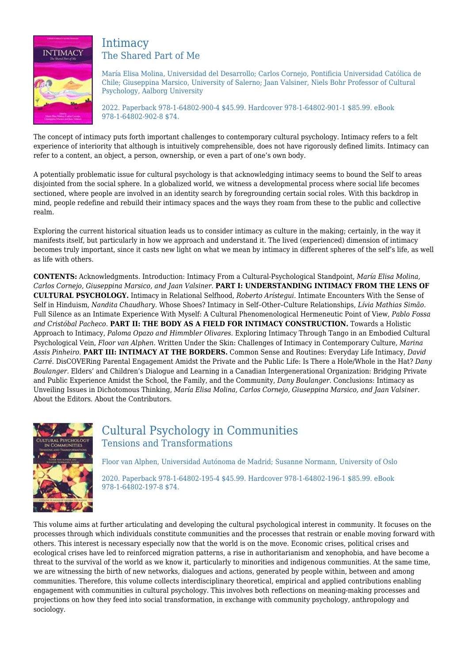

### **Intimacy** The Shared Part of Me

María Elisa Molina, Universidad del Desarrollo; Carlos Cornejo, Pontificia Universidad Católica de Chile; Giuseppina Marsico, University of Salerno; Jaan Valsiner, Niels Bohr Professor of Cultural Psychology, Aalborg University

2022. Paperback 978-1-64802-900-4 \$45.99. Hardcover 978-1-64802-901-1 \$85.99. eBook 978-1-64802-902-8 \$74.

The concept of intimacy puts forth important challenges to contemporary cultural psychology. Intimacy refers to a felt experience of interiority that although is intuitively comprehensible, does not have rigorously defined limits. Intimacy can refer to a content, an object, a person, ownership, or even a part of one's own body.

A potentially problematic issue for cultural psychology is that acknowledging intimacy seems to bound the Self to areas disjointed from the social sphere. In a globalized world, we witness a developmental process where social life becomes sectioned, where people are involved in an identity search by foregrounding certain social roles. With this backdrop in mind, people redefine and rebuild their intimacy spaces and the ways they roam from these to the public and collective realm.

Exploring the current historical situation leads us to consider intimacy as culture in the making; certainly, in the way it manifests itself, but particularly in how we approach and understand it. The lived (experienced) dimension of intimacy becomes truly important, since it casts new light on what we mean by intimacy in different spheres of the self's life, as well as life with others.

**CONTENTS:** Acknowledgments. Introduction: Intimacy From a Cultural-Psychological Standpoint, *María Elisa Molina, Carlos Cornejo, Giuseppina Marsico, and Jaan Valsiner.* **PART I: UNDERSTANDING INTIMACY FROM THE LENS OF CULTURAL PSYCHOLOGY.** Intimacy in Relational Selfhood, *Roberto Arístegui.* Intimate Encounters With the Sense of Self in Hinduism, *Nandita Chaudhary.* Whose Shoes? Intimacy in Self–Other–Culture Relationships, *Lívia Mathias Simão.* Full Silence as an Intimate Experience With Myself: A Cultural Phenomenological Hermeneutic Point of View, *Pablo Fossa and Cristóbal Pacheco.* **PART II: THE BODY AS A FIELD FOR INTIMACY CONSTRUCTION.** Towards a Holistic Approach to Intimacy, *Paloma Opazo and Himmbler Olivares.* Exploring Intimacy Through Tango in an Embodied Cultural Psychological Vein, *Floor van Alphen.* Written Under the Skin: Challenges of Intimacy in Contemporary Culture, *Marina Assis Pinheiro.* **PART III: INTIMACY AT THE BORDERS.** Common Sense and Routines: Everyday Life Intimacy, *David Carré.* DisCOVERing Parental Engagement Amidst the Private and the Public Life: Is There a Hole/Whole in the Hat? *Dany Boulanger.* Elders' and Children's Dialogue and Learning in a Canadian Intergenerational Organization: Bridging Private and Public Experience Amidst the School, the Family, and the Community, *Dany Boulanger.* Conclusions: Intimacy as Unveiling Issues in Dichotomous Thinking, *María Elisa Molina, Carlos Cornejo, Giuseppina Marsico, and Jaan Valsiner.* About the Editors. About the Contributors.



# Cultural Psychology in Communities Tensions and Transformations

Floor van Alphen, Universidad Autónoma de Madrid; Susanne Normann, University of Oslo

2020. Paperback 978-1-64802-195-4 \$45.99. Hardcover 978-1-64802-196-1 \$85.99. eBook 978-1-64802-197-8 \$74.

This volume aims at further articulating and developing the cultural psychological interest in community. It focuses on the processes through which individuals constitute communities and the processes that restrain or enable moving forward with others. This interest is necessary especially now that the world is on the move. Economic crises, political crises and ecological crises have led to reinforced migration patterns, a rise in authoritarianism and xenophobia, and have become a threat to the survival of the world as we know it, particularly to minorities and indigenous communities. At the same time, we are witnessing the birth of new networks, dialogues and actions, generated by people within, between and among communities. Therefore, this volume collects interdisciplinary theoretical, empirical and applied contributions enabling engagement with communities in cultural psychology. This involves both reflections on meaning-making processes and projections on how they feed into social transformation, in exchange with community psychology, anthropology and sociology.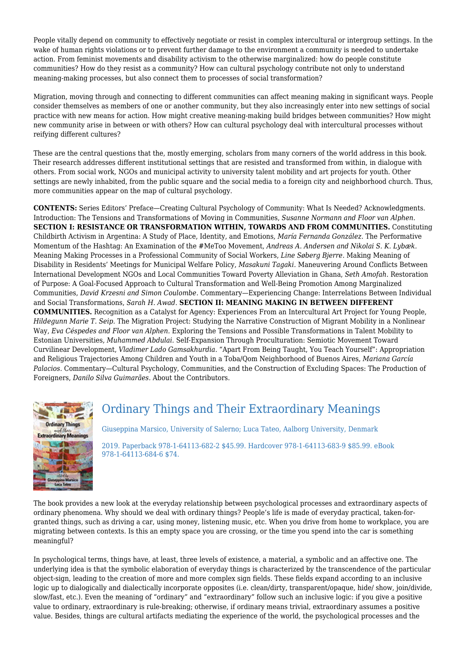People vitally depend on community to effectively negotiate or resist in complex intercultural or intergroup settings. In the wake of human rights violations or to prevent further damage to the environment a community is needed to undertake action. From feminist movements and disability activism to the otherwise marginalized: how do people constitute communities? How do they resist as a community? How can cultural psychology contribute not only to understand meaning-making processes, but also connect them to processes of social transformation?

Migration, moving through and connecting to different communities can affect meaning making in significant ways. People consider themselves as members of one or another community, but they also increasingly enter into new settings of social practice with new means for action. How might creative meaning-making build bridges between communities? How might new community arise in between or with others? How can cultural psychology deal with intercultural processes without reifying different cultures?

These are the central questions that the, mostly emerging, scholars from many corners of the world address in this book. Their research addresses different institutional settings that are resisted and transformed from within, in dialogue with others. From social work, NGOs and municipal activity to university talent mobility and art projects for youth. Other settings are newly inhabited, from the public square and the social media to a foreign city and neighborhood church. Thus, more communities appear on the map of cultural psychology.

**CONTENTS:** Series Editors' Preface—Creating Cultural Psychology of Community: What Is Needed? Acknowledgments. Introduction: The Tensions and Transformations of Moving in Communities, *Susanne Normann and Floor van Alphen.* **SECTION I: RESISTANCE OR TRANSFORMATION WITHIN, TOWARDS AND FROM COMMUNITIES.** Constituting Childbirth Activism in Argentina: A Study of Place, Identity, and Emotions, *María Fernanda González.* The Performative Momentum of the Hashtag: An Examination of the #MeToo Movement, *Andreas A. Andersen and Nikolai S. K. Lybæk.* Meaning Making Processes in a Professional Community of Social Workers, *Line Søberg Bjerre.* Making Meaning of Disability in Residents' Meetings for Municipal Welfare Policy, *Masakuni Tagaki.* Maneuvering Around Conflicts Between International Development NGOs and Local Communities Toward Poverty Alleviation in Ghana, *Seth Amofah.* Restoration of Purpose: A Goal-Focused Approach to Cultural Transformation and Well-Being Promotion Among Marginalized Communities, *David Krzesni and Simon Coulombe.* Commentary—Experiencing Change: Interrelations Between Individual and Social Transformations, *Sarah H. Awad.* **SECTION II: MEANING MAKING IN BETWEEN DIFFERENT COMMUNITIES.** Recognition as a Catalyst for Agency: Experiences From an Intercultural Art Project for Young People, *Hildegunn Marie T. Seip.* The Migration Project: Studying the Narrative Construction of Migrant Mobility in a Nonlinear Way, *Eva Céspedes and Floor van Alphen.* Exploring the Tensions and Possible Transformations in Talent Mobility to Estonian Universities, *Muhammed Abdulai.* Self-Expansion Through Proculturation: Semiotic Movement Toward Curvilinear Development, *Vladimer Lado Gamsakhurdia.* "Apart From Being Taught, You Teach Yourself": Appropriation and Religious Trajectories Among Children and Youth in a Toba/Qom Neighborhood of Buenos Aires, *Mariana García Palacios.* Commentary—Cultural Psychology, Communities, and the Construction of Excluding Spaces: The Production of Foreigners, *Danilo Silva Guimarães.* About the Contributors.



# Ordinary Things and Their Extraordinary Meanings

Giuseppina Marsico, University of Salerno; Luca Tateo, Aalborg University, Denmark

2019. Paperback 978-1-64113-682-2 \$45.99. Hardcover 978-1-64113-683-9 \$85.99. eBook 978-1-64113-684-6 \$74.

The book provides a new look at the everyday relationship between psychological processes and extraordinary aspects of ordinary phenomena. Why should we deal with ordinary things? People's life is made of everyday practical, taken-forgranted things, such as driving a car, using money, listening music, etc. When you drive from home to workplace, you are migrating between contexts. Is this an empty space you are crossing, or the time you spend into the car is something meaningful?

In psychological terms, things have, at least, three levels of existence, a material, a symbolic and an affective one. The underlying idea is that the symbolic elaboration of everyday things is characterized by the transcendence of the particular object-sign, leading to the creation of more and more complex sign fields. These fields expand according to an inclusive logic up to dialogically and dialectically incorporate opposites (i.e. clean/dirty, transparent/opaque, hide/ show, join/divide, slow/fast, etc.). Even the meaning of "ordinary" and "extraordinary" follow such an inclusive logic: if you give a positive value to ordinary, extraordinary is rule-breaking; otherwise, if ordinary means trivial, extraordinary assumes a positive value. Besides, things are cultural artifacts mediating the experience of the world, the psychological processes and the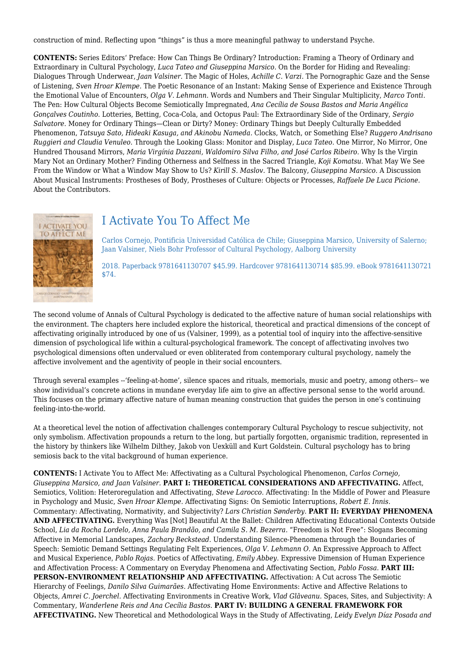construction of mind. Reflecting upon "things" is thus a more meaningful pathway to understand Psyche.

**CONTENTS:** Series Editors' Preface: How Can Things Be Ordinary? Introduction: Framing a Theory of Ordinary and Extraordinary in Cultural Psychology, *Luca Tateo and Giuseppina Marsico.* On the Border for Hiding and Revealing: Dialogues Through Underwear, *Jaan Valsiner.* The Magic of Holes, *Achille C. Varzi.* The Pornographic Gaze and the Sense of Listening, *Sven Hroar Klempe.* The Poetic Resonance of an Instant: Making Sense of Experience and Existence Through the Emotional Value of Encounters, *Olga V. Lehmann.* Words and Numbers and Their Singular Multiplicity, *Marco Tonti.* The Pen: How Cultural Objects Become Semiotically Impregnated, *Ana Cecília de Sousa Bastos and Maria Angélica Gonçalves Coutinho.* Lotteries, Betting, Coca-Cola, and Octopus Paul: The Extraordinary Side of the Ordinary, *Sergio Salvatore.* Money for Ordinary Things—Clean or Dirty? Money: Ordinary Things but Deeply Culturally Embedded Phenomenon, *Tatsuya Sato, Hideaki Kasuga, and Akinobu Nameda.* Clocks, Watch, or Something Else? *Ruggero Andrisano Ruggieri and Claudia Venuleo.* Through the Looking Glass: Monitor and Display, *Luca Tateo.* One Mirror, No Mirror, One Hundred Thousand Mirrors, *Maria Virgínia Dazzani, Waldomiro Silva Filho, and José Carlos Ribeiro.* Why Is the Virgin Mary Not an Ordinary Mother? Finding Otherness and Selfness in the Sacred Triangle, *Koji Komatsu.* What May We See From the Window or What a Window May Show to Us? *Kirill S. Maslov.* The Balcony, *Giuseppina Marsico.* A Discussion About Musical Instruments: Prostheses of Body, Prostheses of Culture: Objects or Processes, *Raffaele De Luca Picione.* About the Contributors.



# I Activate You To Affect Me

Carlos Cornejo, Pontificia Universidad Católica de Chile; Giuseppina Marsico, University of Salerno; Jaan Valsiner, Niels Bohr Professor of Cultural Psychology, Aalborg University

2018. Paperback 9781641130707 \$45.99. Hardcover 9781641130714 \$85.99. eBook 9781641130721 \$74.

The second volume of Annals of Cultural Psychology is dedicated to the affective nature of human social relationships with the environment. The chapters here included explore the historical, theoretical and practical dimensions of the concept of affectivating originally introduced by one of us (Valsiner, 1999), as a potential tool of inquiry into the affective-sensitive dimension of psychological life within a cultural-psychological framework. The concept of affectivating involves two psychological dimensions often undervalued or even obliterated from contemporary cultural psychology, namely the affective involvement and the agentivity of people in their social encounters.

Through several examples --'feeling-at-home', silence spaces and rituals, memorials, music and poetry, among others-- we show individual's concrete actions in mundane everyday life aim to give an affective personal sense to the world around. This focuses on the primary affective nature of human meaning construction that guides the person in one's continuing feeling-into-the-world.

At a theoretical level the notion of affectivation challenges contemporary Cultural Psychology to rescue subjectivity, not only symbolism. Affectivation propounds a return to the long, but partially forgotten, organismic tradition, represented in the history by thinkers like Wilhelm Dilthey, Jakob von Uexküll and Kurt Goldstein. Cultural psychology has to bring semiosis back to the vital background of human experience.

**CONTENTS:** I Activate You to Affect Me: Affectivating as a Cultural Psychological Phenomenon, *Carlos Cornejo, Giuseppina Marsico, and Jaan Valsiner.* **PART I: THEORETICAL CONSIDERATIONS AND AFFECTIVATING.** Affect, Semiotics, Volition: Heteroregulation and Affectivating, *Steve Larocco.* Affectivating: In the Middle of Power and Pleasure in Psychology and Music, *Sven Hroar Klempe.* Affectivating Signs: On Semiotic Interruptions, *Robert E. Innis.* Commentary: Affectivating, Normativity, and Subjectivity? *Lars Christian Sønderby.* **PART II: EVERYDAY PHENOMENA AND AFFECTIVATING.** Everything Was [Not] Beautiful At the Ballet: Children Affectivating Educational Contexts Outside School, *Lia da Rocha Lordelo, Anna Paula Brandão, and Camila S. M. Bezerra.* "Freedom is Not Free": Slogans Becoming Affective in Memorial Landscapes, *Zachary Beckstead.* Understanding Silence-Phenomena through the Boundaries of Speech: Semiotic Demand Settings Regulating Felt Experiences, *Olga V. Lehmann O.* An Expressive Approach to Affect and Musical Experience, *Pablo Rojas.* Poetics of Affectivating, *Emily Abbey.* Expressive Dimension of Human Experience and Affectivation Process: A Commentary on Everyday Phenomena and Affectivating Section, *Pablo Fossa.* **PART III: PERSON–ENVIRONMENT RELATIONSHIP AND AFFECTIVATING.** Affectivation: A Cut across The Semiotic Hierarchy of Feelings, *Danilo Silva Guimarães.* Affectivating Home Environments: Active and Affective Relations to Objects, *Amrei C. Joerchel.* Affectivating Environments in Creative Work, *Vlad Glăveanu.* Spaces, Sites, and Subjectivity: A Commentary, *Wanderlene Reis and Ana Cecília Bastos.* **PART IV: BUILDING A GENERAL FRAMEWORK FOR AFFECTIVATING.** New Theoretical and Methodological Ways in the Study of Affectivating, *Leidy Evelyn Díaz Posada and*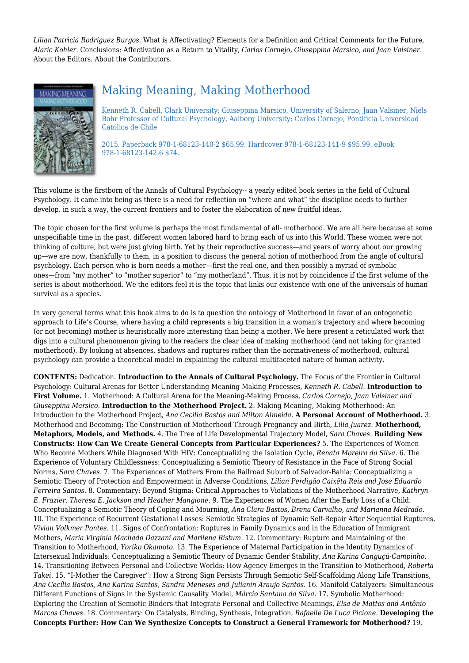*Lilian Patricia Rodríguez Burgos.* What is Affectivating? Elements for a Definition and Critical Comments for the Future, *Alaric Kohler.* Conclusions: Affectivation as a Return to Vitality, *Carlos Cornejo, Giuseppina Marsico, and Jaan Valsiner.* About the Editors. About the Contributors.



# Making Meaning, Making Motherhood

Kenneth R. Cabell, Clark University; Giuseppina Marsico, University of Salerno; Jaan Valsiner, Niels Bohr Professor of Cultural Psychology, Aalborg University; Carlos Cornejo, Pontificia Universidad Católica de Chile

2015. Paperback 978-1-68123-140-2 \$65.99. Hardcover 978-1-68123-141-9 \$95.99. eBook 978-1-68123-142-6 \$74.

This volume is the firstborn of the Annals of Cultural Psychology-- a yearly edited book series in the field of Cultural Psychology. It came into being as there is a need for reflection on "where and what" the discipline needs to further develop, in such a way, the current frontiers and to foster the elaboration of new fruitful ideas.

The topic chosen for the first volume is perhaps the most fundamental of all- motherhood. We are all here because at some unspecifiable time in the past, different women labored hard to bring each of us into this World. These women were not thinking of culture, but were just giving birth. Yet by their reproductive success—and years of worry about our growing up—we are now, thankfully to them, in a position to discuss the general notion of motherhood from the angle of cultural psychology. Each person who is born needs a mother—first the real one, and then possibly a myriad of symbolic ones—from "my mother" to "mother superior" to "my motherland". Thus, it is not by coincidence if the first volume of the series is about motherhood. We the editors feel it is the topic that links our existence with one of the universals of human survival as a species.

In very general terms what this book aims to do is to question the ontology of Motherhood in favor of an ontogenetic approach to Life's Course, where having a child represents a big transition in a woman's trajectory and where becoming (or not becoming) mother is heuristically more interesting than being a mother. We here present a reticulated work that digs into a cultural phenomenon giving to the readers the clear idea of making motherhood (and not taking for granted motherhood). By looking at absences, shadows and ruptures rather than the normativeness of motherhood, cultural psychology can provide a theoretical model in explaining the cultural multifaceted nature of human activity.

**CONTENTS:** Dedication. **Introduction to the Annals of Cultural Psychology.** The Focus of the Frontier in Cultural Psychology: Cultural Arenas for Better Understanding Meaning Making Processes, *Kenneth R. Cabell.* **Introduction to First Volume.** 1. Motherhood: A Cultural Arena for the Meaning-Making Process, *Carlos Cornejo, Jaan Valsiner and Giuseppina Marsico.* **Introduction to the Motherhood Project.** 2. Making Meaning, Making Motherhood: An Introduction to the Motherhood Project, *Ana Cecilia Bastos and Milton Almeida.* **A Personal Account of Motherhood.** 3. Motherhood and Becoming: The Construction of Motherhood Through Pregnancy and Birth, *Lilia Juarez.* **Motherhood, Metaphors, Models, and Methods.** 4. The Tree of Life Developmental Trajectory Model, *Sara Chaves.* **Building New Constructs: How Can We Create General Concepts from Particular Experiences?** 5. The Experiences of Women Who Become Mothers While Diagnosed With HIV: Conceptualizing the Isolation Cycle, *Renata Moreira da Silva.* 6. The Experience of Voluntary Childlessness: Conceptualizing a Semiotic Theory of Resistance in the Face of Strong Social Norms, *Sara Chaves.* 7. The Experiences of Mothers From the Railroad Suburb of Salvador-Bahia: Conceptualizing a Semiotic Theory of Protection and Empowerment in Adverse Conditions, *Lilian Perdigão Caixêta Reis and José Eduardo Ferreira Santos.* 8. Commentary: Beyond Stigma: Critical Approaches to Violations of the Motherhood Narrative, *Kathryn E. Frazier, Theresa E. Jackson and Heather Mangione.* 9. The Experiences of Women After the Early Loss of a Child: Conceptualizing a Semiotic Theory of Coping and Mourning, *Ana Clara Bastos, Brena Carvalho, and Marianna Medrado.* 10. The Experience of Recurrent Gestational Losses: Semiotic Strategies of Dynamic Self-Repair After Sequential Ruptures, *Vívian Volkmer Pontes.* 11. Signs of Confrontation: Ruptures in Family Dynamics and in the Education of Immigrant Mothers, *Maria Virgínia Machado Dazzani and Marilena Ristum.* 12. Commentary: Rupture and Maintaining of the Transition to Motherhood, *Yoriko Okamoto.* 13. The Experience of Maternal Participation in the Identity Dynamics of Intersexual Individuals: Conceptualizing a Semiotic Theory of Dynamic Gender Stability, *Ana Karina Canguçú-Campinho.* 14. Transitioning Between Personal and Collective Worlds: How Agency Emerges in the Transition to Motherhood, *Roberta Takei.* 15. "I-Mother the Caregiver": How a Strong Sign Persists Through Semiotic Self-Scaffolding Along Life Transitions, *Ana Cecília Bastos, Ana Karina Santos, Sandra Meneses and Julianin Araujo Santos.* 16. Manifold Catalyzers: Simultaneous Different Functions of Signs in the Systemic Causality Model, *Márcio Santana da Silva.* 17. Symbolic Motherhood: Exploring the Creation of Semiotic Binders that Integrate Personal and Collective Meanings, *Elsa de Mattos and Antônio Marcos Chaves.* 18. Commentary: On Catalysts, Binding, Synthesis, Integration, *Rafaelle De Luca Picione.* **Developing the Concepts Further: How Can We Synthesize Concepts to Construct a General Framework for Motherhood?** 19.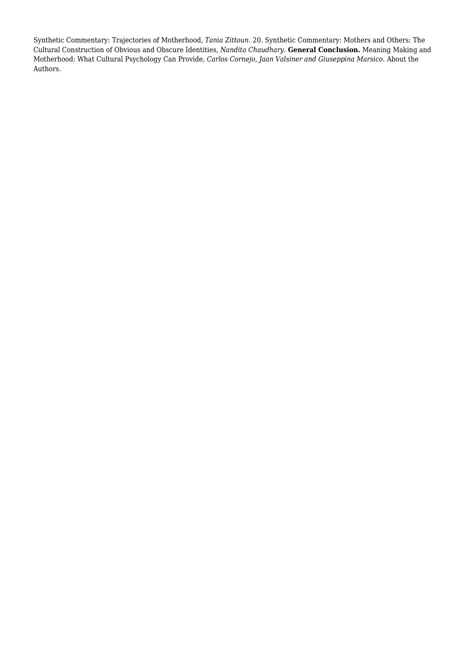Synthetic Commentary: Trajectories of Motherhood, *Tania Zittoun.* 20. Synthetic Commentary: Mothers and Others: The Cultural Construction of Obvious and Obscure Identities, *Nandita Chaudhary.* **General Conclusion.** Meaning Making and Motherhood: What Cultural Psychology Can Provide, *Carlos Cornejo, Jaan Valsiner and Giuseppina Marsico.* About the Authors.